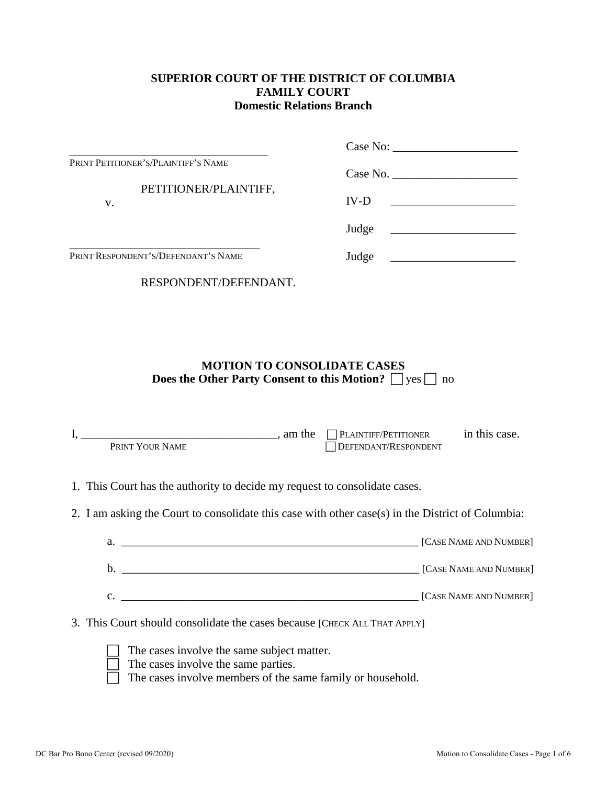#### **SUPERIOR COURT OF THE DISTRICT OF COLUMBIA FAMILY COURT Domestic Relations Branch**

|                                     | Case No:                                                    |
|-------------------------------------|-------------------------------------------------------------|
| PRINT PETITIONER'S/PLAINTIFF'S NAME | Case No.                                                    |
| PETITIONER/PLAINTIFF,<br>v.         | $IV-D$<br><u> 1989 - Jan Barbara Barbara, manazarta da </u> |
|                                     | Judge                                                       |
| PRINT RESPONDENT'S/DEFENDANT'S NAME | Judge                                                       |
| RESPONDENT/DEFENDANT.               |                                                             |

### **MOTION TO CONSOLIDATE CASES Does the Other Party Consent to this Motion?**  $\Box$  yes  $\Box$  no

| $I, \underline{\hspace{2cm}}$ am the $\Box$ PLAINTIFF/PETITIONER in this case.<br>PRINT YOUR NAME                                               | DEFENDANT/RESPONDENT |  |
|-------------------------------------------------------------------------------------------------------------------------------------------------|----------------------|--|
| 1. This Court has the authority to decide my request to consolidate cases.                                                                      |                      |  |
| 2. I am asking the Court to consolidate this case with other case(s) in the District of Columbia:                                               |                      |  |
|                                                                                                                                                 |                      |  |
|                                                                                                                                                 |                      |  |
| C. CASE NAME AND NUMBER]                                                                                                                        |                      |  |
| 3. This Court should consolidate the cases because [CHECK ALL THAT APPLY]                                                                       |                      |  |
| The cases involve the same subject matter.<br>The cases involve the same parties.<br>The cases involve members of the same family or household. |                      |  |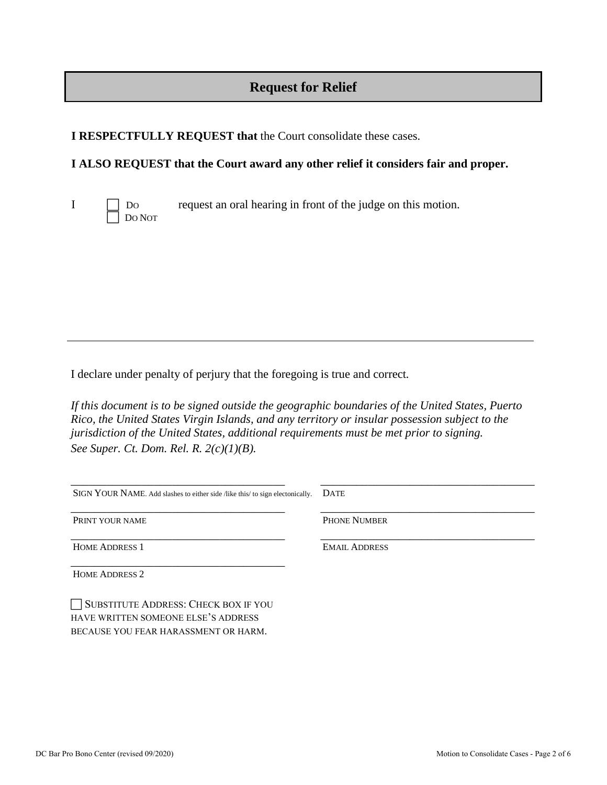# **Request for Relief**

**I RESPECTFULLY REQUEST that** the Court consolidate these cases.

### **I ALSO REQUEST that the Court award any other relief it considers fair and proper.**



 $I \Box$  Do request an oral hearing in front of the judge on this motion.

I declare under penalty of perjury that the foregoing is true and correct*.* 

*If this document is to be signed outside the geographic boundaries of the United States, Puerto Rico, the United States Virgin Islands, and any territory or insular possession subject to the jurisdiction of the United States, additional requirements must be met prior to signing. See Super. Ct. Dom. Rel. R. 2(c)(1)(B).*

| <b>DATE</b>          |
|----------------------|
| <b>PHONE NUMBER</b>  |
| <b>EMAIL ADDRESS</b> |
|                      |
|                      |

SUBSTITUTE ADDRESS: CHECK BOX IF YOU HAVE WRITTEN SOMEONE ELSE'S ADDRESS BECAUSE YOU FEAR HARASSMENT OR HARM.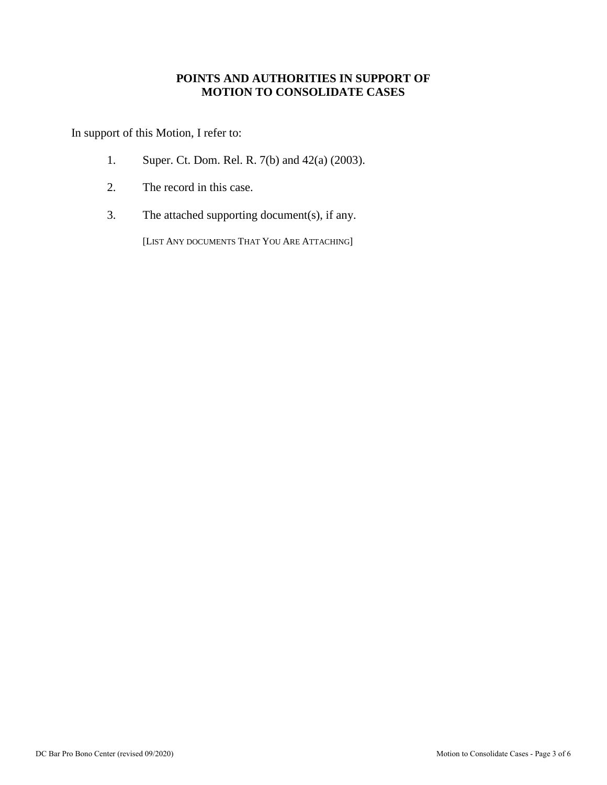#### **POINTS AND AUTHORITIES IN SUPPORT OF MOTION TO CONSOLIDATE CASES**

In support of this Motion, I refer to:

- 1. Super. Ct. Dom. Rel. R. 7(b) and 42(a) (2003).
- 2. The record in this case.
- 3. The attached supporting document(s), if any.

[LIST ANY DOCUMENTS THAT YOU ARE ATTACHING]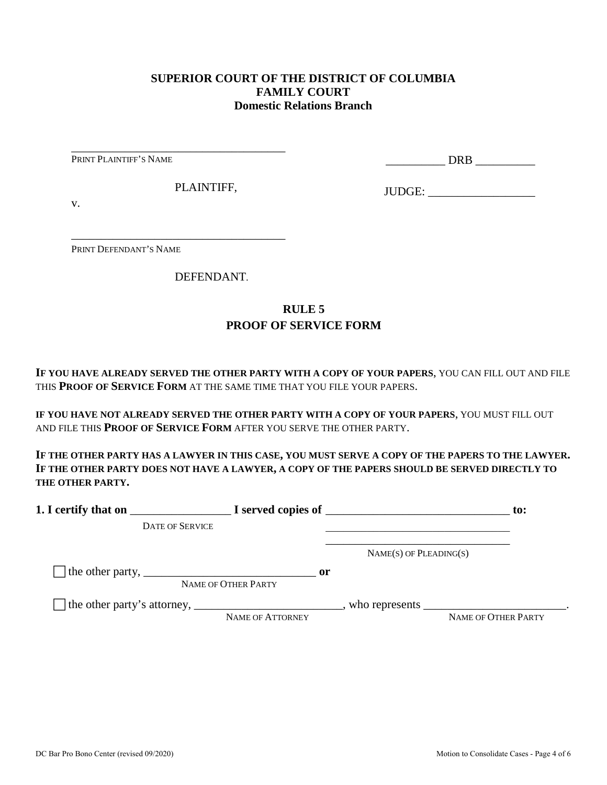#### **SUPERIOR COURT OF THE DISTRICT OF COLUMBIA FAMILY COURT Domestic Relations Branch**

PRINT PLAINTIFF'S NAME

\_\_\_\_\_\_\_\_\_\_ DRB \_\_\_\_\_\_\_\_\_\_

PLAINTIFF,

\_\_\_\_\_\_\_\_\_\_\_\_\_\_\_\_\_\_\_\_\_\_\_\_\_\_\_\_\_\_\_\_\_\_\_\_

\_\_\_\_\_\_\_\_\_\_\_\_\_\_\_\_\_\_\_\_\_\_\_\_\_\_\_\_\_\_\_\_\_\_\_\_

JUDGE: \_\_\_\_\_\_\_\_\_\_\_\_\_\_\_\_\_\_

v.

PRINT DEFENDANT'S NAME

DEFENDANT.

## **RULE 5 PROOF OF SERVICE FORM**

**IF YOU HAVE ALREADY SERVED THE OTHER PARTY WITH A COPY OF YOUR PAPERS**, YOU CAN FILL OUT AND FILE THIS **PROOF OF SERVICE FORM** AT THE SAME TIME THAT YOU FILE YOUR PAPERS.

**IF YOU HAVE NOT ALREADY SERVED THE OTHER PARTY WITH A COPY OF YOUR PAPERS**, YOU MUST FILL OUT AND FILE THIS **PROOF OF SERVICE FORM** AFTER YOU SERVE THE OTHER PARTY.

**IF THE OTHER PARTY HAS A LAWYER IN THIS CASE, YOU MUST SERVE A COPY OF THE PAPERS TO THE LAWYER. IF THE OTHER PARTY DOES NOT HAVE A LAWYER, A COPY OF THE PAPERS SHOULD BE SERVED DIRECTLY TO THE OTHER PARTY.** 

|                                                                               |                                      |                             | to:                                                                                                               |
|-------------------------------------------------------------------------------|--------------------------------------|-----------------------------|-------------------------------------------------------------------------------------------------------------------|
| <b>DATE OF SERVICE</b>                                                        |                                      |                             |                                                                                                                   |
|                                                                               |                                      | $NAME(S)$ OF PLEADING $(S)$ |                                                                                                                   |
| The other party, $\frac{1}{\sqrt{1-\frac{1}{2}}}\left\{1-\frac{1}{2}\right\}$ | $\mathbf{or}$<br>NAME OF OTHER PARTY |                             |                                                                                                                   |
|                                                                               | <b>NAME OF ATTORNEY</b>              |                             | who represents $\frac{1}{\sqrt{1-\frac{1}{2}}}\left[\frac{1}{\sqrt{1-\frac{1}{2}}}\right]$<br>NAME OF OTHER PARTY |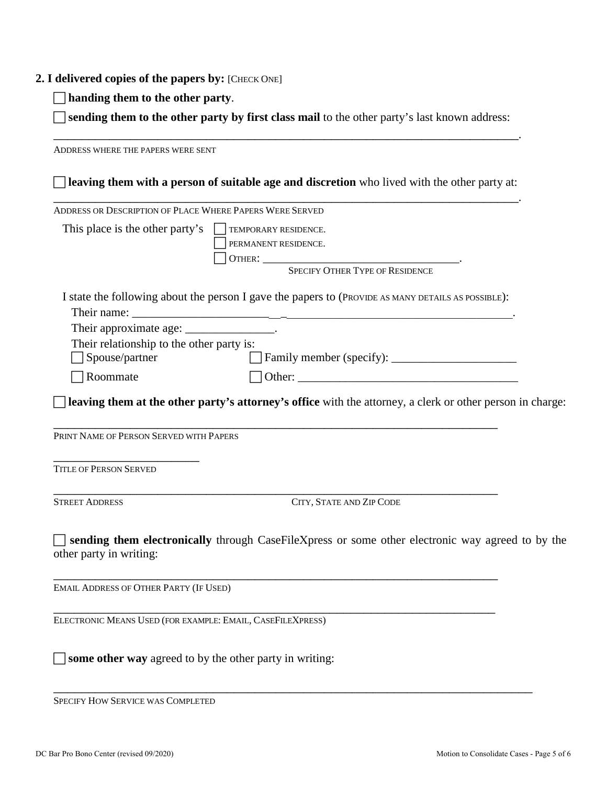#### **2. I delivered copies of the papers by:** [CHECK ONE]

**handing them to the other party**.

 **sending them to the other party by first class mail** to the other party's last known address: \_\_\_\_\_\_\_\_\_\_\_\_\_\_\_\_\_\_\_\_\_\_\_\_\_\_\_\_\_\_\_\_\_\_\_\_\_\_\_\_\_\_\_\_\_\_\_\_\_\_\_\_\_\_\_\_\_\_\_\_\_\_\_\_\_\_\_.

ADDRESS WHERE THE PAPERS WERE SENT **leaving them with a person of suitable age and discretion** who lived with the other party at: \_\_\_\_\_\_\_\_\_\_\_\_\_\_\_\_\_\_\_\_\_\_\_\_\_\_\_\_\_\_\_\_\_\_\_\_\_\_\_\_\_\_\_\_\_\_\_\_\_\_\_\_\_\_\_\_\_\_\_\_\_\_\_\_\_\_\_. ADDRESS OR DESCRIPTION OF PLACE WHERE PAPERS WERE SERVED This place is the other party's  $\Box$  TEMPORARY RESIDENCE. PERMANENT RESIDENCE. OTHER: \_\_\_\_\_\_\_\_\_\_\_\_\_\_\_\_\_\_\_\_\_\_\_\_\_\_\_\_\_\_\_\_\_. SPECIFY OTHER TYPE OF RESIDENCE I state the following about the person I gave the papers to (PROVIDE AS MANY DETAILS AS POSSIBLE): Their name: Their approximate age: \_\_\_\_\_\_\_\_\_\_\_\_\_\_\_\_. Their relationship to the other party is: Spouse/partner Family member (specify): \_\_\_\_\_\_\_\_\_\_\_\_\_\_\_\_\_\_\_\_\_  $\Box$  Roommate  $\Box$  Other: **leaving them at the other party's attorney's office** with the attorney, a clerk or other person in charge: \_\_\_\_\_\_\_\_\_\_\_\_\_\_\_\_\_\_\_\_\_\_\_\_\_\_\_\_\_\_\_\_\_\_\_\_\_\_\_\_\_\_\_\_\_\_\_\_\_\_\_\_\_\_\_\_\_\_\_\_\_\_\_\_ PRINT NAME OF PERSON SERVED WITH PAPERS \_\_\_\_\_\_\_\_\_\_\_\_\_\_\_\_\_\_\_\_\_ TITLE OF PERSON SERVED \_\_\_\_\_\_\_\_\_\_\_\_\_\_\_\_\_\_\_\_\_\_\_\_\_\_\_\_\_\_\_\_\_\_\_\_\_\_\_\_\_\_\_\_\_\_\_\_\_\_\_\_\_\_\_\_\_\_\_\_\_\_\_\_ STREET ADDRESS CITY, STATE AND ZIP CODE **sending them electronically** through CaseFileXpress or some other electronic way agreed to by the other party in writing: \_\_\_\_\_\_\_\_\_\_\_\_\_\_\_\_\_\_\_\_\_\_\_\_\_\_\_\_\_\_\_\_\_\_\_\_\_\_\_\_\_\_\_\_\_\_\_\_\_\_\_\_\_\_\_\_\_\_\_\_\_\_\_\_ EMAIL ADDRESS OF OTHER PARTY (IF USED) \_\_\_\_\_\_\_\_\_\_\_\_\_\_\_\_\_\_\_\_\_\_\_\_\_\_\_\_\_\_\_\_\_\_\_\_\_\_\_\_\_\_\_\_\_\_\_\_\_\_\_\_\_\_\_\_\_\_\_\_\_\_\_\_ ELECTRONIC MEANS USED (FOR EXAMPLE: EMAIL, CASEFILEXPRESS)

\_\_\_\_\_\_\_\_\_\_\_\_\_\_\_\_\_\_\_\_\_\_\_\_\_\_\_\_\_\_\_\_\_\_\_\_\_\_\_\_\_\_\_\_\_\_\_\_\_\_\_\_\_\_\_\_\_\_\_\_\_\_\_\_\_\_\_\_\_

SPECIFY HOW SERVICE WAS COMPLETED

**some other way** agreed to by the other party in writing: